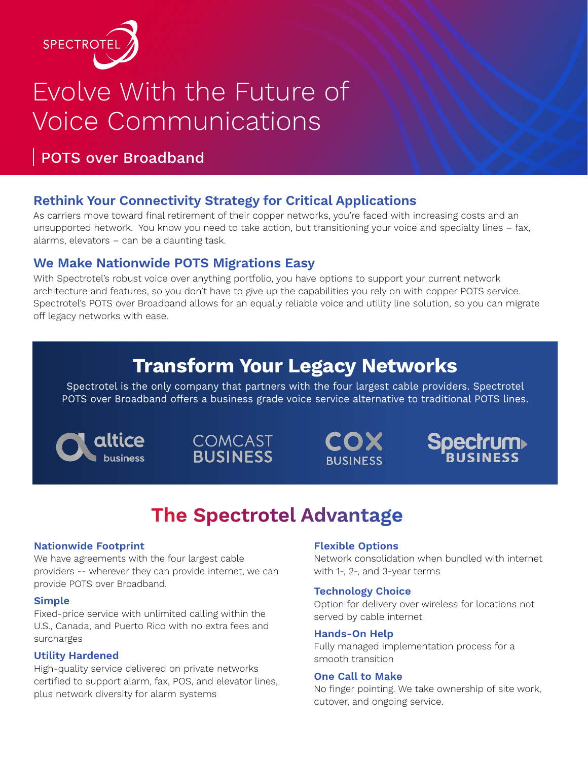

# Evolve With the Future of Voice Communications

### POTS over Broadband

#### **Rethink Your Connectivity Strategy for Critical Applications**

As carriers move toward final retirement of their copper networks, you're faced with increasing costs and an unsupported network. You know you need to take action, but transitioning your voice and specialty lines – fax, alarms, elevators – can be a daunting task.

#### **We Make Nationwide POTS Migrations Easy**

With Spectrotel's robust voice over anything portfolio, you have options to support your current network architecture and features, so you don't have to give up the capabilities you rely on with copper POTS service. Spectrotel's POTS over Broadband allows for an equally reliable voice and utility line solution, so you can migrate off legacy networks with ease.

### **Transform Your Legacy Networks**

Spectrotel is the only company that partners with the four largest cable providers. Spectrotel POTS over Broadband offers a business grade voice service alternative to traditional POTS lines.





COX **BUSINESS** 

**Spectrum** 

## **The Spectrotel Advantage**

#### **Nationwide Footprint**

We have agreements with the four largest cable providers -- wherever they can provide internet, we can provide POTS over Broadband.

#### **Simple**

Fixed-price service with unlimited calling within the U.S., Canada, and Puerto Rico with no extra fees and surcharges

#### **Utility Hardened**

High-quality service delivered on private networks certified to support alarm, fax, POS, and elevator lines, plus network diversity for alarm systems

#### **Flexible Options**

Network consolidation when bundled with internet with 1-, 2-, and 3-year terms

#### **Technology Choice**

Option for delivery over wireless for locations not served by cable internet

#### **Hands-On Help**

Fully managed implementation process for a smooth transition

#### **One Call to Make**

No finger pointing. We take ownership of site work, cutover, and ongoing service.